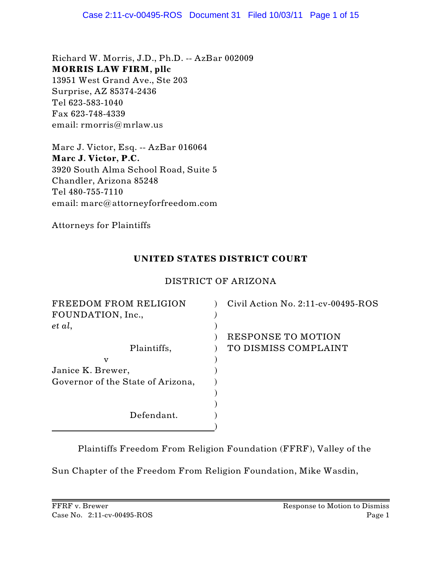Richard W. Morris, J.D., Ph.D. -- AzBar 002009 **MORRIS LAW FIRM, pllc** 13951 West Grand Ave., Ste 203 Surprise, AZ 85374-2436 Tel 623-583-1040 Fax 623-748-4339 email: rmorris@mrlaw.us

Marc J. Victor, Esq. -- AzBar 016064 **Marc J. Victor, P.C.** 3920 South Alma School Road, Suite 5 Chandler, Arizona 85248 Tel 480-755-7110 email: marc@attorneyforfreedom.com

Attorneys for Plaintiffs

## **UNITED STATES DISTRICT COURT**

## DISTRICT OF ARIZONA

| FREEDOM FROM RELIGION             | Civil Action No. $2:11$ -cv-00495-ROS |
|-----------------------------------|---------------------------------------|
| FOUNDATION, Inc.,                 |                                       |
| et al,                            |                                       |
|                                   | RESPONSE TO MOTION                    |
| Plaintiffs,                       | TO DISMISS COMPLAINT                  |
| $\mathbf{V}$                      |                                       |
| Janice K. Brewer,                 |                                       |
| Governor of the State of Arizona, |                                       |
|                                   |                                       |
|                                   |                                       |
| Defendant.                        |                                       |
|                                   |                                       |

Plaintiffs Freedom From Religion Foundation (FFRF), Valley of the

Sun Chapter of the Freedom From Religion Foundation, Mike Wasdin,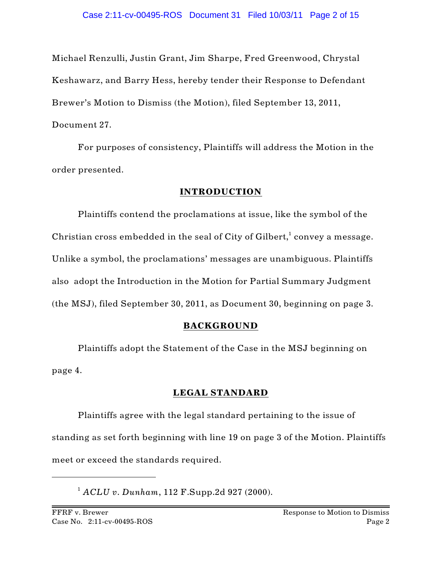Michael Renzulli, Justin Grant, Jim Sharpe, Fred Greenwood, Chrystal Keshawarz, and Barry Hess, hereby tender their Response to Defendant Brewer's Motion to Dismiss (the Motion), filed September 13, 2011, Document 27.

For purposes of consistency, Plaintiffs will address the Motion in the order presented.

#### **INTRODUCTION**

Plaintiffs contend the proclamations at issue, like the symbol of the Christian cross embedded in the seal of City of Gilbert,<sup>1</sup> convey a message. Unlike a symbol, the proclamations' messages are unambiguous. Plaintiffs also adopt the Introduction in the Motion for Partial Summary Judgment (the MSJ), filed September 30, 2011, as Document 30, beginning on page 3.

#### **BACKGROUND**

Plaintiffs adopt the Statement of the Case in the MSJ beginning on page 4.

#### **LEGAL STANDARD**

Plaintiffs agree with the legal standard pertaining to the issue of standing as set forth beginning with line 19 on page 3 of the Motion. Plaintiffs meet or exceed the standards required.

<sup>1</sup> ACLU v. Dunham, 112 F.Supp.2d 927 (2000).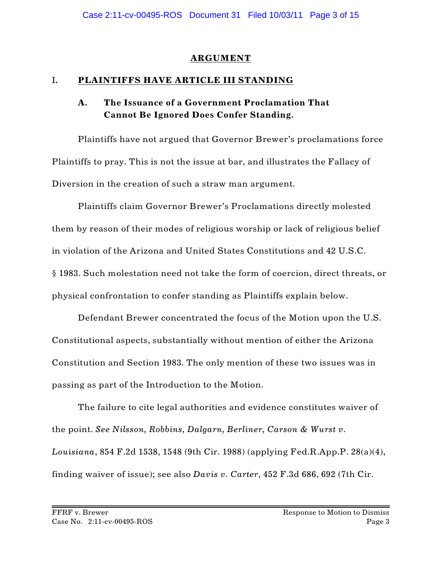### **ARGUMENT**

### I**. PLAINTIFFS HAVE ARTICLE III STANDING**

# **A. The Issuance of a Government Proclamation That Cannot Be Ignored Does Confer Standing.**

Plaintiffs have not argued that Governor Brewer's proclamations force Plaintiffs to pray. This is not the issue at bar, and illustrates the Fallacy of Diversion in the creation of such a straw man argument.

Plaintiffs claim Governor Brewer's Proclamations directly molested them by reason of their modes of religious worship or lack of religious belief in violation of the Arizona and United States Constitutions and 42 U.S.C. § 1983. Such molestation need not take the form of coercion, direct threats, or physical confrontation to confer standing as Plaintiffs explain below.

Defendant Brewer concentrated the focus of the Motion upon the U.S. Constitutional aspects, substantially without mention of either the Arizona Constitution and Section 1983. The only mention of these two issues was in passing as part of the Introduction to the Motion.

The failure to cite legal authorities and evidence constitutes waiver of the point. *See Nilsson, Robbins, Dalgarn, Berliner, Carson & Wurst v. Louisiana*, 854 F.2d 1538, 1548 (9th Cir. 1988) (applying Fed.R.App.P. 28(a)(4), finding waiver of issue); see also *Davis v. Carter*, 452 F.3d 686, 692 (7th Cir.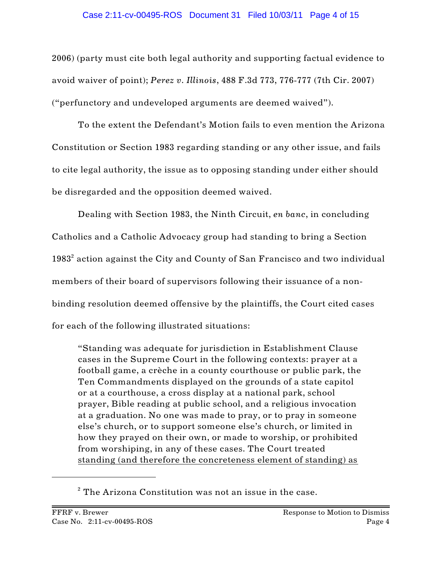#### Case 2:11-cv-00495-ROS Document 31 Filed 10/03/11 Page 4 of 15

2006) (party must cite both legal authority and supporting factual evidence to avoid waiver of point); *Perez v. Illinois*, 488 F.3d 773, 776-777 (7th Cir. 2007) ("perfunctory and undeveloped arguments are deemed waived").

To the extent the Defendant's Motion fails to even mention the Arizona Constitution or Section 1983 regarding standing or any other issue, and fails to cite legal authority, the issue as to opposing standing under either should be disregarded and the opposition deemed waived.

Dealing with Section 1983, the Ninth Circuit, *en banc*, in concluding Catholics and a Catholic Advocacy group had standing to bring a Section  $1983<sup>2</sup>$  action against the City and County of San Francisco and two individual members of their board of supervisors following their issuance of a nonbinding resolution deemed offensive by the plaintiffs, the Court cited cases for each of the following illustrated situations:

"Standing was adequate for jurisdiction in Establishment Clause cases in the Supreme Court in the following contexts: prayer at a football game, a crèche in a county courthouse or public park, the Ten Commandments displayed on the grounds of a state capitol or at a courthouse, a cross display at a national park, school prayer, Bible reading at public school, and a religious invocation at a graduation. No one was made to pray, or to pray in someone else's church, or to support someone else's church, or limited in how they prayed on their own, or made to worship, or prohibited from worshiping, in any of these cases. The Court treated standing (and therefore the concreteness element of standing) as

 $2$  The Arizona Constitution was not an issue in the case.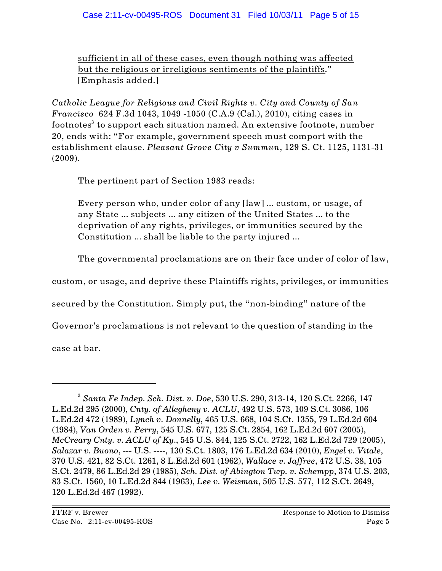sufficient in all of these cases, even though nothing was affected but the religious or irreligious sentiments of the plaintiffs." [Emphasis added.]

*Catholic League for Religious and Civil Rights v. City and County of San Francisco* 624 F.3d 1043, 1049 -1050 (C.A.9 (Cal.), 2010), citing cases in footnotes<sup>3</sup> to support each situation named. An extensive footnote, number 20, ends with: "For example, government speech must comport with the establishment clause. *Pleasant Grove City v Summun*, 129 S. Ct. 1125, 1131-31 (2009).

The pertinent part of Section 1983 reads:

Every person who, under color of any [law] ... custom, or usage, of any State ... subjects ... any citizen of the United States ... to the deprivation of any rights, privileges, or immunities secured by the Constitution ... shall be liable to the party injured ...

The governmental proclamations are on their face under of color of law,

custom, or usage, and deprive these Plaintiffs rights, privileges, or immunities

secured by the Constitution. Simply put, the "non-binding" nature of the

Governor's proclamations is not relevant to the question of standing in the

case at bar.

*Santa Fe Indep. Sch. Dist. v. Doe*, 530 U.S. 290, 313-14, 120 S.Ct. 2266, 147 <sup>3</sup> L.Ed.2d 295 (2000), *Cnty. of Allegheny v. ACLU*, 492 U.S. 573, 109 S.Ct. 3086, 106 L.Ed.2d 472 (1989), *Lynch v. Donnelly*, 465 U.S. 668, 104 S.Ct. 1355, 79 L.Ed.2d 604 (1984), *Van Orden v. Perry*, 545 U.S. 677, 125 S.Ct. 2854, 162 L.Ed.2d 607 (2005), *McCreary Cnty. v. ACLU of Ky*., 545 U.S. 844, 125 S.Ct. 2722, 162 L.Ed.2d 729 (2005), *Salazar v. Buono*, --- U.S. ----, 130 S.Ct. 1803, 176 L.Ed.2d 634 (2010), *Engel v. Vitale*, 370 U.S. 421, 82 S.Ct. 1261, 8 L.Ed.2d 601 (1962), *Wallace v. Jaffree*, 472 U.S. 38, 105 S.Ct. 2479, 86 L.Ed.2d 29 (1985), *Sch. Dist. of Abington Twp. v. Schempp*, 374 U.S. 203, 83 S.Ct. 1560, 10 L.Ed.2d 844 (1963), *Lee v. Weisman*, 505 U.S. 577, 112 S.Ct. 2649, 120 L.Ed.2d 467 (1992).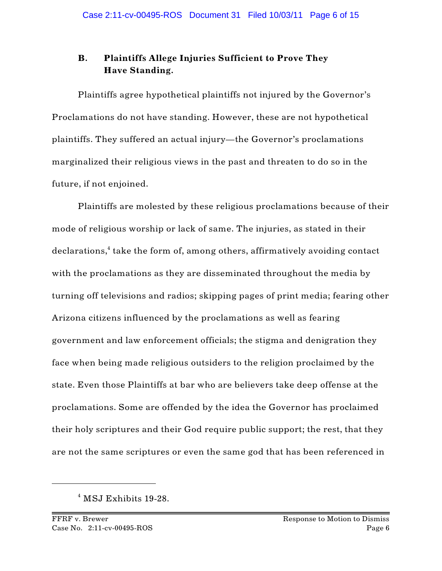# **B. Plaintiffs Allege Injuries Sufficient to Prove They Have Standing.**

Plaintiffs agree hypothetical plaintiffs not injured by the Governor's Proclamations do not have standing. However, these are not hypothetical plaintiffs. They suffered an actual injury—the Governor's proclamations marginalized their religious views in the past and threaten to do so in the future, if not enjoined.

Plaintiffs are molested by these religious proclamations because of their mode of religious worship or lack of same. The injuries, as stated in their  $declarations, <sup>4</sup>$  take the form of, among others, affirmatively avoiding contact with the proclamations as they are disseminated throughout the media by turning off televisions and radios; skipping pages of print media; fearing other Arizona citizens influenced by the proclamations as well as fearing government and law enforcement officials; the stigma and denigration they face when being made religious outsiders to the religion proclaimed by the state. Even those Plaintiffs at bar who are believers take deep offense at the proclamations. Some are offended by the idea the Governor has proclaimed their holy scriptures and their God require public support; the rest, that they are not the same scriptures or even the same god that has been referenced in

 $4$  MSJ Exhibits 19-28.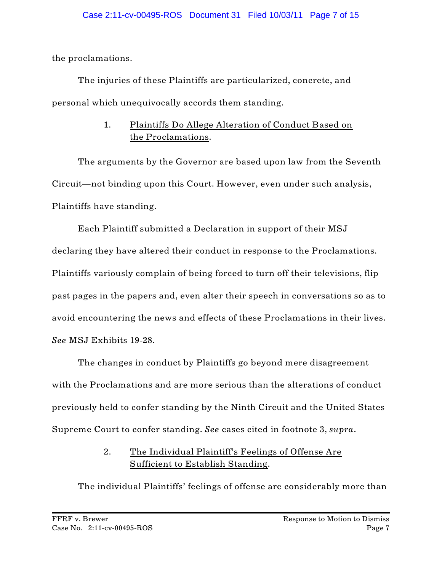the proclamations.

The injuries of these Plaintiffs are particularized, concrete, and personal which unequivocally accords them standing.

# 1. Plaintiffs Do Allege Alteration of Conduct Based on the Proclamations.

The arguments by the Governor are based upon law from the Seventh Circuit—not binding upon this Court. However, even under such analysis, Plaintiffs have standing.

Each Plaintiff submitted a Declaration in support of their MSJ declaring they have altered their conduct in response to the Proclamations. Plaintiffs variously complain of being forced to turn off their televisions, flip past pages in the papers and, even alter their speech in conversations so as to avoid encountering the news and effects of these Proclamations in their lives. *See* MSJ Exhibits 19-28.

The changes in conduct by Plaintiffs go beyond mere disagreement with the Proclamations and are more serious than the alterations of conduct previously held to confer standing by the Ninth Circuit and the United States Supreme Court to confer standing. *See* cases cited in footnote 3, *supra*.

# 2. The Individual Plaintiff's Feelings of Offense Are Sufficient to Establish Standing.

The individual Plaintiffs' feelings of offense are considerably more than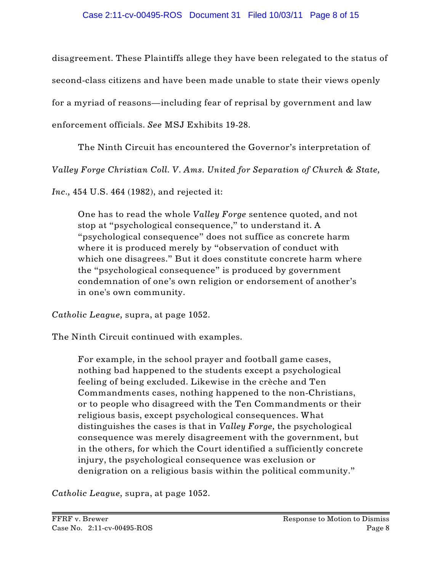disagreement. These Plaintiffs allege they have been relegated to the status of second-class citizens and have been made unable to state their views openly for a myriad of reasons—including fear of reprisal by government and law enforcement officials. *See* MSJ Exhibits 19-28.

The Ninth Circuit has encountered the Governor's interpretation of

*Valley Forge Christian Coll. V. Ams. United for Separation of Church & State,*

*Inc.,* 454 U.S. 464 (1982), and rejected it:

One has to read the whole *Valley Forge* sentence quoted, and not stop at "psychological consequence," to understand it. A "psychological consequence" does not suffice as concrete harm where it is produced merely by "observation of conduct with which one disagrees." But it does constitute concrete harm where the "psychological consequence" is produced by government condemnation of one's own religion or endorsement of another's in one's own community.

*Catholic League,* supra, at page 1052.

The Ninth Circuit continued with examples.

For example, in the school prayer and football game cases, nothing bad happened to the students except a psychological feeling of being excluded. Likewise in the crèche and Ten Commandments cases, nothing happened to the non-Christians, or to people who disagreed with the Ten Commandments or their religious basis, except psychological consequences. What distinguishes the cases is that in *Valley Forge,* the psychological consequence was merely disagreement with the government, but in the others, for which the Court identified a sufficiently concrete injury, the psychological consequence was exclusion or denigration on a religious basis within the political community."

*Catholic League,* supra, at page 1052.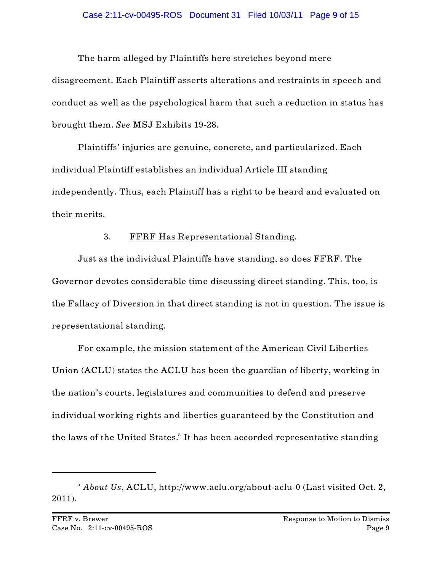#### Case 2:11-cv-00495-ROS Document 31 Filed 10/03/11 Page 9 of 15

The harm alleged by Plaintiffs here stretches beyond mere disagreement. Each Plaintiff asserts alterations and restraints in speech and conduct as well as the psychological harm that such a reduction in status has brought them. *See* MSJ Exhibits 19-28.

Plaintiffs' injuries are genuine, concrete, and particularized. Each individual Plaintiff establishes an individual Article III standing independently. Thus, each Plaintiff has a right to be heard and evaluated on their merits.

## 3. FFRF Has Representational Standing.

Just as the individual Plaintiffs have standing, so does FFRF. The Governor devotes considerable time discussing direct standing. This, too, is the Fallacy of Diversion in that direct standing is not in question. The issue is representational standing.

For example, the mission statement of the American Civil Liberties Union (ACLU) states the ACLU has been the guardian of liberty, working in the nation's courts, legislatures and communities to defend and preserve individual working rights and liberties guaranteed by the Constitution and the laws of the United States.<sup>5</sup> It has been accorded representative standing

<sup>&</sup>lt;sup>5</sup> About Us, ACLU, http://www.aclu.org/about-aclu-0 (Last visited Oct. 2, 2011).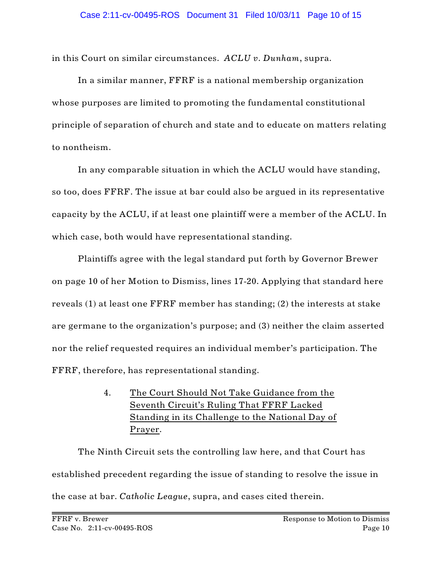in this Court on similar circumstances. *ACLU v. Dunham*, supra.

In a similar manner, FFRF is a national membership organization whose purposes are limited to promoting the fundamental constitutional principle of separation of church and state and to educate on matters relating to nontheism.

In any comparable situation in which the ACLU would have standing, so too, does FFRF. The issue at bar could also be argued in its representative capacity by the ACLU, if at least one plaintiff were a member of the ACLU. In which case, both would have representational standing.

Plaintiffs agree with the legal standard put forth by Governor Brewer on page 10 of her Motion to Dismiss, lines 17-20. Applying that standard here reveals (1) at least one FFRF member has standing; (2) the interests at stake are germane to the organization's purpose; and (3) neither the claim asserted nor the relief requested requires an individual member's participation. The FFRF, therefore, has representational standing.

> 4. The Court Should Not Take Guidance from the Seventh Circuit's Ruling That FFRF Lacked Standing in its Challenge to the National Day of Prayer.

The Ninth Circuit sets the controlling law here, and that Court has established precedent regarding the issue of standing to resolve the issue in the case at bar. *Catholic League*, supra, and cases cited therein.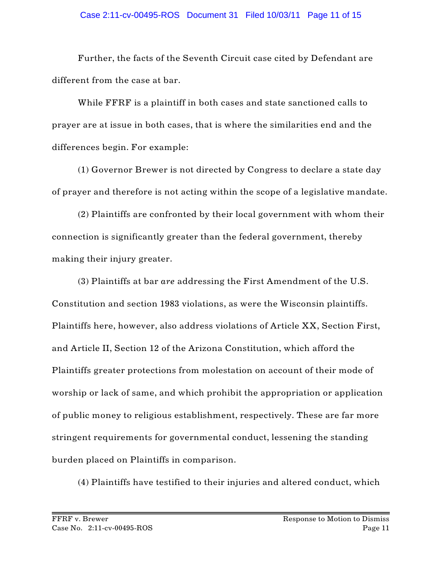Further, the facts of the Seventh Circuit case cited by Defendant are different from the case at bar.

While FFRF is a plaintiff in both cases and state sanctioned calls to prayer are at issue in both cases, that is where the similarities end and the differences begin. For example:

(1) Governor Brewer is not directed by Congress to declare a state day of prayer and therefore is not acting within the scope of a legislative mandate.

(2) Plaintiffs are confronted by their local government with whom their connection is significantly greater than the federal government, thereby making their injury greater.

(3) Plaintiffs at bar *are* addressing the First Amendment of the U.S. Constitution and section 1983 violations, as were the Wisconsin plaintiffs. Plaintiffs here, however, also address violations of Article XX, Section First, and Article II, Section 12 of the Arizona Constitution, which afford the Plaintiffs greater protections from molestation on account of their mode of worship or lack of same, and which prohibit the appropriation or application of public money to religious establishment, respectively. These are far more stringent requirements for governmental conduct, lessening the standing burden placed on Plaintiffs in comparison.

(4) Plaintiffs have testified to their injuries and altered conduct, which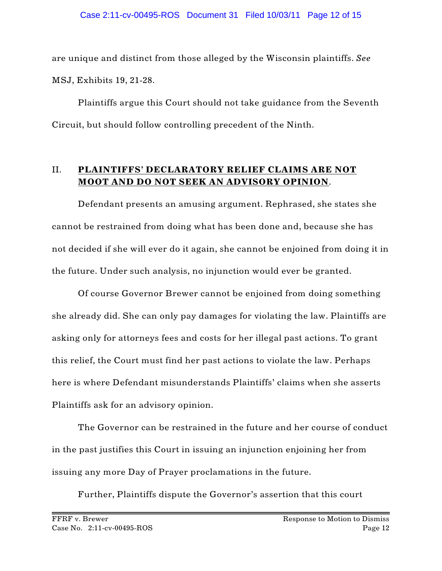are unique and distinct from those alleged by the Wisconsin plaintiffs. *See* MSJ, Exhibits 19, 21-28.

Plaintiffs argue this Court should not take guidance from the Seventh Circuit, but should follow controlling precedent of the Ninth.

# II. **PLAINTIFFS' DECLARATORY RELIEF CLAIMS ARE NOT MOOT AND DO NOT SEEK AN ADVISORY OPINION**.

Defendant presents an amusing argument. Rephrased, she states she cannot be restrained from doing what has been done and, because she has not decided if she will ever do it again, she cannot be enjoined from doing it in the future. Under such analysis, no injunction would ever be granted.

Of course Governor Brewer cannot be enjoined from doing something she already did. She can only pay damages for violating the law. Plaintiffs are asking only for attorneys fees and costs for her illegal past actions. To grant this relief, the Court must find her past actions to violate the law. Perhaps here is where Defendant misunderstands Plaintiffs' claims when she asserts Plaintiffs ask for an advisory opinion.

The Governor can be restrained in the future and her course of conduct in the past justifies this Court in issuing an injunction enjoining her from issuing any more Day of Prayer proclamations in the future.

Further, Plaintiffs dispute the Governor's assertion that this court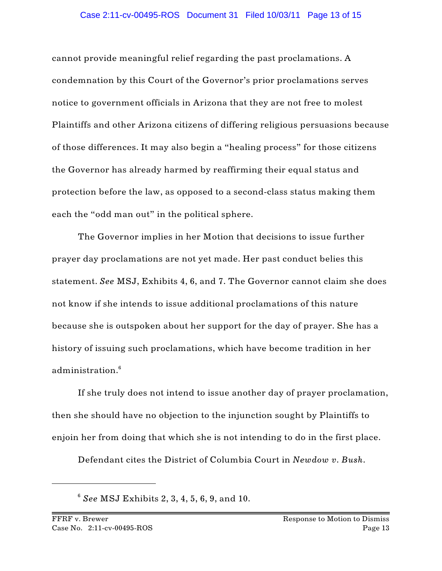cannot provide meaningful relief regarding the past proclamations. A condemnation by this Court of the Governor's prior proclamations serves notice to government officials in Arizona that they are not free to molest Plaintiffs and other Arizona citizens of differing religious persuasions because of those differences. It may also begin a "healing process" for those citizens the Governor has already harmed by reaffirming their equal status and protection before the law, as opposed to a second-class status making them each the "odd man out" in the political sphere.

The Governor implies in her Motion that decisions to issue further prayer day proclamations are not yet made. Her past conduct belies this statement. *See* MSJ, Exhibits 4, 6, and 7. The Governor cannot claim she does not know if she intends to issue additional proclamations of this nature because she is outspoken about her support for the day of prayer. She has a history of issuing such proclamations, which have become tradition in her administration.<sup>6</sup>

If she truly does not intend to issue another day of prayer proclamation, then she should have no objection to the injunction sought by Plaintiffs to enjoin her from doing that which she is not intending to do in the first place.

Defendant cites the District of Columbia Court in *Newdow v. Bush*.

*See* MSJ Exhibits 2, 3, 4, 5, 6, 9, and 10. <sup>6</sup>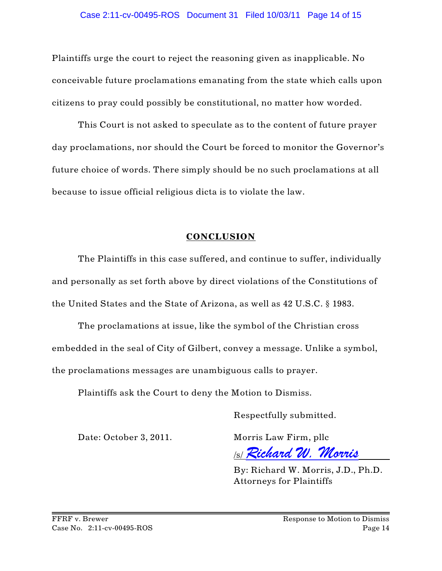Plaintiffs urge the court to reject the reasoning given as inapplicable. No conceivable future proclamations emanating from the state which calls upon citizens to pray could possibly be constitutional, no matter how worded.

This Court is not asked to speculate as to the content of future prayer day proclamations, nor should the Court be forced to monitor the Governor's future choice of words. There simply should be no such proclamations at all because to issue official religious dicta is to violate the law.

## **CONCLUSION**

The Plaintiffs in this case suffered, and continue to suffer, individually and personally as set forth above by direct violations of the Constitutions of the United States and the State of Arizona, as well as 42 U.S.C. § 1983.

The proclamations at issue, like the symbol of the Christian cross embedded in the seal of City of Gilbert, convey a message. Unlike a symbol, the proclamations messages are unambiguous calls to prayer.

Plaintiffs ask the Court to deny the Motion to Dismiss.

Respectfully submitted.

Date: October 3, 2011. Morris Law Firm, pllc

/s/ *Richard W. Morris*

By: Richard W. Morris, J.D., Ph.D. Attorneys for Plaintiffs